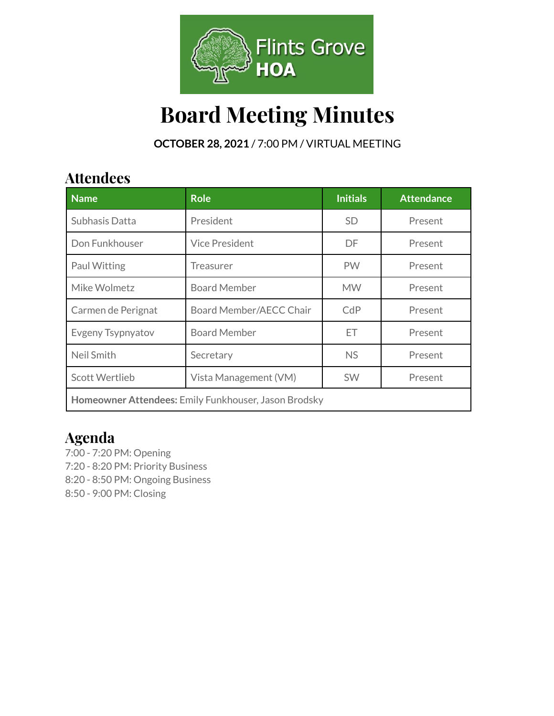

# **Board Meeting Minutes**

**OCTOBER 28, 2021** / 7:00 PM / VIRTUAL MEETING

### **Attendees**

| <b>Name</b>                                          | <b>Role</b>             | <b>Initials</b> | <b>Attendance</b> |  |
|------------------------------------------------------|-------------------------|-----------------|-------------------|--|
| Subhasis Datta                                       | President               | <b>SD</b>       | Present           |  |
| Don Funkhouser                                       | <b>Vice President</b>   | DF.             | Present           |  |
| Paul Witting                                         | Treasurer               | <b>PW</b>       | Present           |  |
| Mike Wolmetz                                         | <b>Board Member</b>     | <b>MW</b>       | Present           |  |
| Carmen de Perignat                                   | Board Member/AECC Chair | CdP             | Present           |  |
| Evgeny Tsypnyatov                                    | <b>Board Member</b>     | ЕT              | Present           |  |
| Neil Smith                                           | Secretary               | <b>NS</b>       | Present           |  |
| <b>Scott Wertlieb</b>                                | Vista Management (VM)   | <b>SW</b>       | Present           |  |
| Homeowner Attendees: Emily Funkhouser, Jason Brodsky |                         |                 |                   |  |

### **Agenda**

7:00 - 7:20 PM: Opening 7:20 - 8:20 PM: Priority Business 8:20 - 8:50 PM: Ongoing Business 8:50 - 9:00 PM: Closing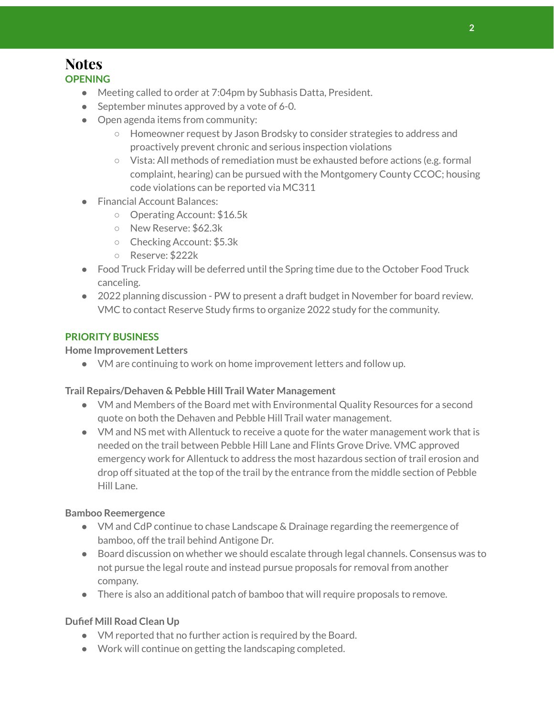#### **Notes OPENING**

- Meeting called to order at 7:04pm by Subhasis Datta, President.
- September minutes approved by a vote of 6-0.
- Open agenda items from community:
	- Homeowner request by Jason Brodsky to consider strategies to address and proactively prevent chronic and serious inspection violations
	- Vista: All methods of remediation must be exhausted before actions (e.g. formal complaint, hearing) can be pursued with the Montgomery County CCOC; housing code violations can be reported via MC311
- Financial Account Balances:
	- Operating Account: \$16.5k
	- New Reserve: \$62.3k
	- Checking Account: \$5.3k
	- Reserve: \$222k
- Food Truck Friday will be deferred until the Spring time due to the October Food Truck canceling.
- 2022 planning discussion PW to present a draft budget in November for board review. VMC to contact Reserve Study firms to organize 2022 study for the community.

#### **PRIORITY BUSINESS**

#### **Home Improvement Letters**

● VM are continuing to work on home improvement letters and follow up.

#### **Trail Repairs/Dehaven & Pebble Hill Trail Water Management**

- VM and Members of the Board met with Environmental Quality Resources for a second quote on both the Dehaven and Pebble Hill Trail water management.
- VM and NS met with Allentuck to receive a quote for the water management work that is needed on the trail between Pebble Hill Lane and Flints Grove Drive. VMC approved emergency work for Allentuck to address the most hazardous section of trail erosion and drop off situated at the top of the trail by the entrance from the middle section of Pebble Hill Lane.

#### **Bamboo Reemergence**

- VM and CdP continue to chase Landscape & Drainage regarding the reemergence of bamboo, off the trail behind Antigone Dr.
- Board discussion on whether we should escalate through legal channels. Consensus was to not pursue the legal route and instead pursue proposals for removal from another company.
- There is also an additional patch of bamboo that will require proposals to remove.

#### **Dufief Mill Road Clean Up**

- VM reported that no further action is required by the Board.
- Work will continue on getting the landscaping completed.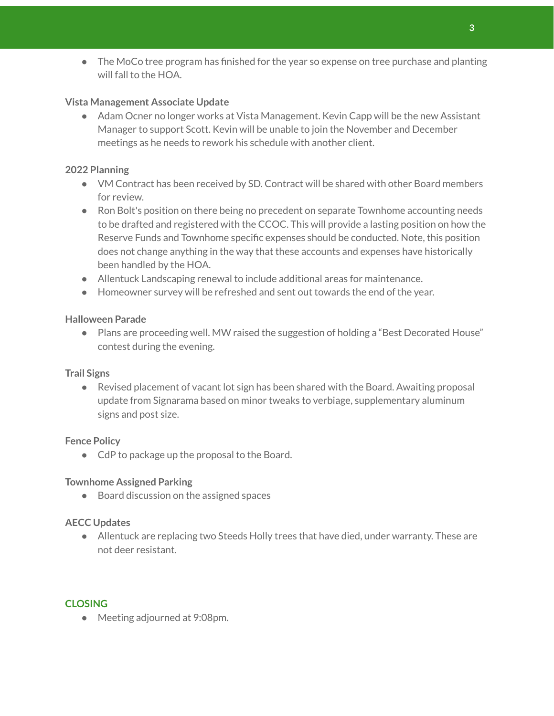• The MoCo tree program has finished for the year so expense on tree purchase and planting will fall to the HOA.

#### **Vista Management Associate Update**

● Adam Ocner no longer works at Vista Management. Kevin Capp will be the new Assistant Manager to support Scott. Kevin will be unable to join the November and December meetings as he needs to rework his schedule with another client.

#### **2022 Planning**

- VM Contract has been received by SD. Contract will be shared with other Board members for review.
- Ron Bolt's position on there being no precedent on separate Townhome accounting needs to be drafted and registered with the CCOC. This will provide a lasting position on how the Reserve Funds and Townhome specific expenses should be conducted. Note, this position does not change anything in the way that these accounts and expenses have historically been handled by the HOA.
- Allentuck Landscaping renewal to include additional areas for maintenance.
- Homeowner survey will be refreshed and sent out towards the end of the year.

#### **Halloween Parade**

● Plans are proceeding well. MW raised the suggestion of holding a "Best Decorated House" contest during the evening.

#### **Trail Signs**

● Revised placement of vacant lot sign has been shared with the Board. Awaiting proposal update from Signarama based on minor tweaks to verbiage, supplementary aluminum signs and post size.

#### **Fence Policy**

● CdP to package up the proposal to the Board.

#### **Townhome Assigned Parking**

● Board discussion on the assigned spaces

#### **AECC Updates**

● Allentuck are replacing two Steeds Holly trees that have died, under warranty. These are not deer resistant.

#### **CLOSING**

● Meeting adjourned at 9:08pm.